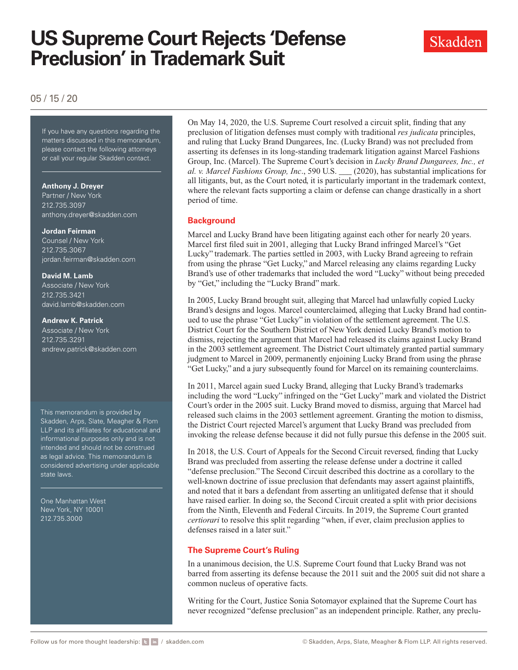# **US Supreme Court Rejects 'Defense Preclusion' in Trademark Suit**



# 05 / 15 / 20

If you have any questions regarding If you have any questions regarding the matters discussed in this memorandum, please contact the following attorneys or call your regular Skadden contact.

#### **Anthony J. Dreyer**

Partner / New York 212.735.3097 [anthony.dreyer@skadden.com](mailto:anthony.dreyer@skadden.com)

#### **Jordan Feirman**

Counsel / New York 212.735.3067 [jordan.feirman@skadden.com](mailto:jordan.feirman@skadden.com)

#### **David M. Lamb**

Associate / New York 212.735.3421 [david.lamb@skadden.com](mailto:david.lamb@skadden.com)

#### **Andrew K. Patrick**

Associate / New York 212.735.3291 [andrew.patrick@skadden.com](mailto:andrew.patrick@skadden.com)

This memorandum is provided by Skadden, Arps, Slate, Meagher & Flom LLP and its affiliates for educational and informational purposes only and is not intended and should not be construed as legal advice. This memorandum is considered advertising under applicable state laws.

One Manhattan West New York, NY 10001 212.735.3000

On May 14, 2020, the U.S. Supreme Court resolved a circuit split, finding that any preclusion of litigation defenses must comply with traditional *res judicata* principles, and ruling that Lucky Brand Dungarees, Inc. (Lucky Brand) was not precluded from asserting its defenses in its long-standing trademark litigation against Marcel Fashions Group, Inc. (Marcel). The Supreme Court's decision in *Lucky Brand Dungarees, Inc., et al. v. Marcel Fashions Group, Inc*., 590 U.S. \_\_\_ (2020), has substantial implications for all litigants, but, as the Court noted, it is particularly important in the trademark context, where the relevant facts supporting a claim or defense can change drastically in a short period of time.

### **Background**

Marcel and Lucky Brand have been litigating against each other for nearly 20 years. Marcel first filed suit in 2001, alleging that Lucky Brand infringed Marcel's "Get Lucky" trademark. The parties settled in 2003, with Lucky Brand agreeing to refrain from using the phrase "Get Lucky," and Marcel releasing any claims regarding Lucky Brand's use of other trademarks that included the word "Lucky" without being preceded by "Get," including the "Lucky Brand" mark.

In 2005, Lucky Brand brought suit, alleging that Marcel had unlawfully copied Lucky Brand's designs and logos. Marcel counterclaimed, alleging that Lucky Brand had continued to use the phrase "Get Lucky" in violation of the settlement agreement. The U.S. District Court for the Southern District of New York denied Lucky Brand's motion to dismiss, rejecting the argument that Marcel had released its claims against Lucky Brand in the 2003 settlement agreement. The District Court ultimately granted partial summary judgment to Marcel in 2009, permanently enjoining Lucky Brand from using the phrase "Get Lucky," and a jury subsequently found for Marcel on its remaining counterclaims.

In 2011, Marcel again sued Lucky Brand, alleging that Lucky Brand's trademarks including the word "Lucky" infringed on the "Get Lucky" mark and violated the District Court's order in the 2005 suit. Lucky Brand moved to dismiss, arguing that Marcel had released such claims in the 2003 settlement agreement. Granting the motion to dismiss, the District Court rejected Marcel's argument that Lucky Brand was precluded from invoking the release defense because it did not fully pursue this defense in the 2005 suit.

In 2018, the U.S. Court of Appeals for the Second Circuit reversed, finding that Lucky Brand was precluded from asserting the release defense under a doctrine it called "defense preclusion." The Second Circuit described this doctrine as a corollary to the well-known doctrine of issue preclusion that defendants may assert against plaintiffs, and noted that it bars a defendant from asserting an unlitigated defense that it should have raised earlier. In doing so, the Second Circuit created a split with prior decisions from the Ninth, Eleventh and Federal Circuits. In 2019, the Supreme Court granted *certiorari* to resolve this split regarding "when, if ever, claim preclusion applies to defenses raised in a later suit."

## **The Supreme Court's Ruling**

In a unanimous decision, the U.S. Supreme Court found that Lucky Brand was not barred from asserting its defense because the 2011 suit and the 2005 suit did not share a common nucleus of operative facts.

Writing for the Court, Justice Sonia Sotomayor explained that the Supreme Court has never recognized "defense preclusion" as an independent principle. Rather, any preclu-